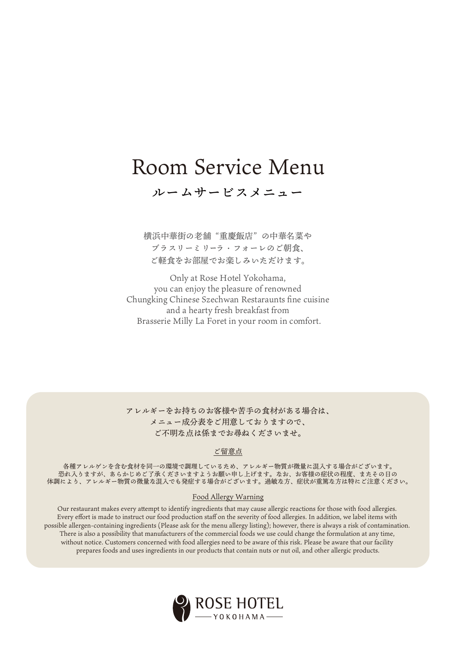# Room Service Menu

ルームサービスメニュー

横浜中華街の老舗 "重慶飯店" の中華名菜や ブラスリーミリーラ・フォーレのご朝食、 ご軽食をお部屋でお楽しみいただけます。

Only at Rose Hotel Yokohama, you can enjoy the pleasure of renowned Chungking Chinese Szechwan Restaraunts fine cuisine and a hearty fresh breakfast from Brasserie Milly La Foret in your room in comfort.

アレルギーをお持ちのお客様や苦手の食材がある場合は、 メニュー成分表をご用意しておりますので、 ご不明な点は係までお尋ねくださいませ。

### ご留意点

各種アレルゲンを含む食材を同一の環境で調理しているため、アレルギー物質が微量に混入する場合がございます。 恐れ入りますが、あらかじめご了承くださいますようお願い申し上げます。なお、お客様の症状の程度、またその日の 体調により、アレルギー物質の微量な混入でも発症する場合がございます。過敏な方、症状が重篤な方は特にご注意ください。

#### Food Allergy Warning

Our restaurant makes every attempt to identify ingredients that may cause allergic reactions for those with food allergies. Every effort is made to instruct our food production staff on the severity of food allergies. In addition, we label items with possible allergen-containing ingredients (Please ask for the menu allergy listing); however, there is always a risk of contamination. There is also a possibility that manufacturers of the commercial foods we use could change the formulation at any time, without notice. Customers concerned with food allergies need to be aware of this risk. Please be aware that our facility prepares foods and uses ingredients in our products that contain nuts or nut oil, and other allergic products.

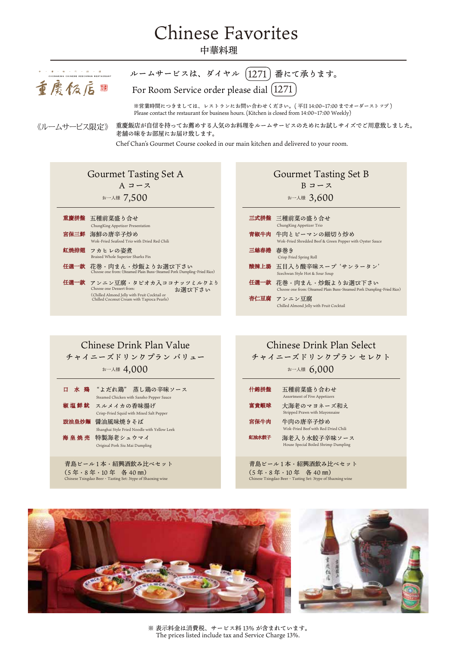# Chinese Favorites

### 中華料理



### Chinese Drink Plan Value 口 水 鶏 "よだれ鶏" 蒸し鶏の辛味ソース チャイニーズドリンクプラン バリュー お一人様  $4,000$  しんじょう こうしゅうしゅう おんしゅう おんしゅう おんしゅう Steamed Chicken with Sansho Pepper Sauce

|      | Steamed Chicken with Sansho Pepper Sauce     |
|------|----------------------------------------------|
| 椒塩鮮魷 | スルメイカの香味揚げ                                   |
|      | Crisp-Fried Squid with Mixed Salt Pepper     |
|      | 鼓油皇炒麵 醤油風味焼きそば                               |
|      | Shanghai Style Fried Noodle with Yellow Leek |
| 海皇焼売 | 特製海老シュウマイ                                    |
|      | Original Pork Siu Mai Dumpling               |
|      |                                              |

青島ビール1本·紹興酒飲み比べセット (5 年・8 年・10 年 各 40 ㎜) se Tsingdao Beer · Tasting Set: 3type of Shaoxing wine

## Chinese Drink Plan Select

チャイニーズドリンクプラン セレクト

お一人様 6,000

| 什錦拼盤  | 五種前菜盛り合わせ<br>Assortment of Five Appetizers           |
|-------|------------------------------------------------------|
| 富貴蝦球  | 大海老のマヨネーズ和え<br>Stripped Prawn with Mayonnaise        |
| 宮保牛肉  | 牛肉の唐辛子炒め<br>Wok-Fried Beef with Red Dried Chili      |
| 紅油水餃子 | 海老入り水餃子辛味ソース<br>House Special Boiled Shrimp Dumpling |
|       |                                                      |

#### 青島ビール1本·紹興酒飲み比べセット (5 年・8 年・10 年 各 40 ㎜) Re Tsingdao Beer · Tasting Set: 3type of Shaoxing wine





※ 表示料金は消費税、サービス料 13% が含まれています。 The prices listed include tax and Service Charge 13%.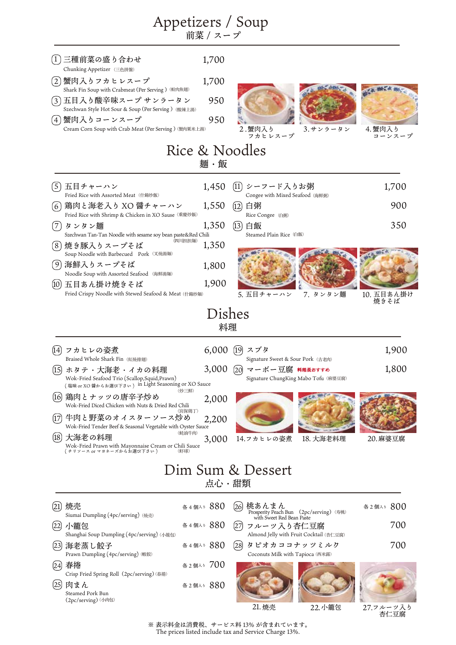|                                                                                                                                                                 | Appetizers / Soup<br>前菜 / スープ |                                                                                                     |                    |
|-----------------------------------------------------------------------------------------------------------------------------------------------------------------|-------------------------------|-----------------------------------------------------------------------------------------------------|--------------------|
| 三種前菜の盛り合わせ<br>$\left(1\right)$<br>Chunking Appetizer (三色拼盤)                                                                                                     | 1,700                         |                                                                                                     |                    |
| 蟹肉入りフカヒレスープ<br>(2)<br>Shark Fin Soup with Crabmeat (Per Serving) (蚧肉魚翅)                                                                                         | 1,700                         |                                                                                                     |                    |
| (3)五目入り酸辛味スープ サンラータン                                                                                                                                            | 950                           |                                                                                                     |                    |
| Szechwan Style Hot Sour & Soup (Per Serving) (酸辣上湯)<br>蟹肉入りコーンスープ<br>(4)<br>Cream Corn Soup with Crab Meat (Per Serving) (蟹肉粟米上湯)                               | 950                           | 3.サンラータン<br>2.蟹肉入り<br>フカヒレスープ                                                                       | 4. 蟹肉入り<br>コーンスープ  |
|                                                                                                                                                                 | Rice & Noodles<br>麺・飯         |                                                                                                     |                    |
| (5) 五目チャーハン<br>Fried Rice with Assorted Meat (什錦炒飯)                                                                                                             | 1,450                         | (11) シーフード入りお粥<br>Congee with Mixed Seafood (海鮮粥)                                                   | 1,700              |
| 鶏肉と海老入り XO 醤チャーハン<br>66)                                                                                                                                        | 1,550                         | 白粥<br>(12)                                                                                          | 900                |
| Fried Rice with Shrimp & Chicken in XO Sause (重慶炒飯)<br>タンタン麺<br>(7)                                                                                             | 1,350                         | Rice Congee (白粥)<br>白飯<br>(13)                                                                      | 350                |
| Szechwan Tan-Tan Noodle with sesame soy bean paste&Red Chili<br>焼き豚入りスープそば<br>〔8〕                                                                               | (四川担担麺)<br>1,350              | Steamed Plain Rice (白飯)                                                                             |                    |
| Soup Noodle with Barbecued Pork (叉焼湯麺)<br>( 9) 海鮮入りスープそば                                                                                                        | 1,800                         |                                                                                                     |                    |
| Noodle Soup with Assorted Seafood (海鮮湯麺)<br>(10)<br>五目あん掛け焼きそば                                                                                                  | 1,900                         |                                                                                                     |                    |
| Fried Crispy Noodle with Stewed Seafood & Meat (什錦炒麵)                                                                                                           |                               | 5. 五目チャーハン<br>7. タンタン麺                                                                              | 10. 五目あん掛け<br>焼きそば |
|                                                                                                                                                                 | Dishes<br>料理                  |                                                                                                     |                    |
| フカヒレの姿煮<br>[14]                                                                                                                                                 | $6,000$ (19)                  | スブタ                                                                                                 | 1,900              |
| Braised Whole Shark Fin(紅焼排翅)<br>ホタテ・大海老・イカの料理<br>(15)<br>Wok-Fried Seafood Trio (Scallop, Squid, Prawn)<br>(塩味 or XO 醤からお選び下さい) in Light Seasoning or XO Sauce | 3,000                         | Signature Sweet & Sour Pork (古老肉)<br>マーボー豆腐 料理長おすすめ<br>(20)<br>Signature ChungKing Mabo Tofu (麻婆豆腐) | 1,800              |
| 鶏肉とナッツの唐辛子炒め<br>(16)<br>Wok-Fried Diced Chicken with Nuts & Dried Red Chili                                                                                     | (炒三鮮)<br>2,000                |                                                                                                     |                    |
| 牛肉と野菜のオイスターソース炒め<br>(17)<br>Wok-Fried Tender Beef & Seasonal Vegetable with Oyster Sauce                                                                        | (宮保鶏丁)<br>2,200               |                                                                                                     |                    |
| (18)<br>大海老の料理<br>Wok-Fried Prawn with Mayonnaise Cream or Chili Sauce<br>( チリソース or マヨネーズからお選び下さい )                                                            | (蚝油牛肉)<br>3,000               | 14.フカヒレの姿煮<br>18. 大海老料理                                                                             | 20.麻婆豆腐            |
|                                                                                                                                                                 | 点心・甜類                         | Dim Sum & Dessert                                                                                   |                    |
|                                                                                                                                                                 |                               |                                                                                                     |                    |
| 焼売<br>(21<br>Siumai Dumpling (4pc/serving) (焼売)                                                                                                                 | 各4個入3 880                     | 桃あんまん<br>(26)<br>Prosperity Peach Bun (2pc/serving) (寿桃)<br>with Sweet Red Bean Paste               | 各2個入3 800          |
| 小籠包<br>(22)<br>Shanghai Soup Dumpling (4pc/serving) (小籠包)                                                                                                       | 各4個入3 880                     | フルーツ入り杏仁豆腐<br>1271<br>Almond Jelly with Fruit Cocktail (杏仁豆腐)                                       | 700                |
| (23)<br>海老蒸し餃子<br>Prawn Dumpling (4pc/serving) (蝦餃)                                                                                                             | 各4個入3 880                     | タピオカココナッツミルク<br>[28]<br>Coconuts Milk with Tapioca (西米露)                                            | 700                |
| 春捲<br>(24)<br>Crisp Fried Spring Roll (2pc/serving) (春捲)                                                                                                        | 各2個入5 700                     |                                                                                                     |                    |
| (25)<br>肉まん                                                                                                                                                     | 各2個入3 880                     |                                                                                                     |                    |

Steamed Pork Bun (2pc/serving) ⑺肉包)

> ※ 表示料金は消費税、サービス料 13% が含まれています。 The prices listed include tax and Service Charge 13%.

Ÿ.

21. 焼売 22. 小籠包

フルーツ入り 杏仁豆腐